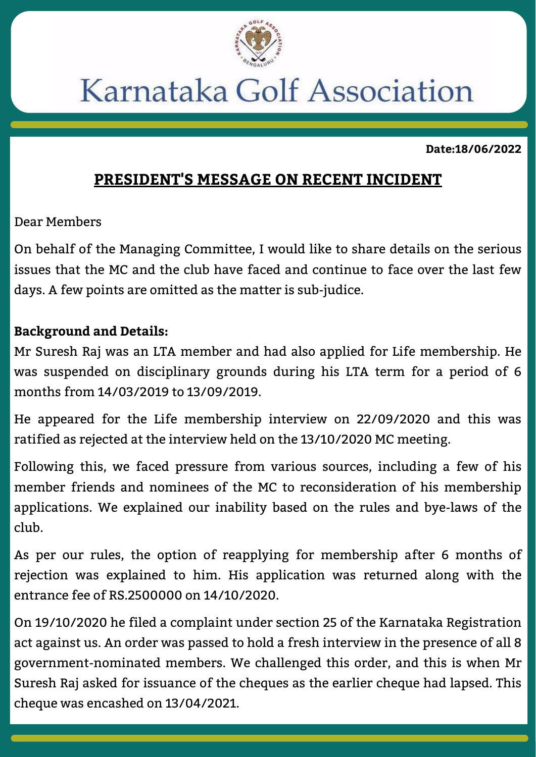

## Karnataka Golf Association

**Date:18/06/2022**

## **PRESIDENT'S MESSAGE ON RECENT INCIDENT**

Dear Members

On behalf of the Managing Committee, I would like to share details on the serious issues that the MC and the club have faced and continue to face over the last few days. A few points are omitted as the matter is sub-judice.

## **Background and Details:**

Mr Suresh Raj was an LTA member and had also applied for Life membership. He was suspended on disciplinary grounds during his LTA term for a period of 6 months from 14/03/2019 to 13/09/2019.

He appeared for the Life membership interview on 22/09/2020 and this was ratified as rejected at the interview held on the 13/10/2020 MC meeting.

Following this, we faced pressure from various sources, including a few of his member friends and nominees of the MC to reconsideration of his membership applications. We explained our inability based on the rules and bye-laws of the club.

As per our rules, the option of reapplying for membership after 6 months of rejection was explained to him. His application was returned along with the entrance fee of RS.2500000 on 14/10/2020.

On 19/10/2020 he filed a complaint under section 25 of the Karnataka Registration act against us. An order was passed to hold a fresh interview in the presence of all 8 government-nominated members. We challenged this order, and this is when Mr Suresh Raj asked for issuance of the cheques as the earlier cheque had lapsed. This cheque was encashed on 13/04/2021.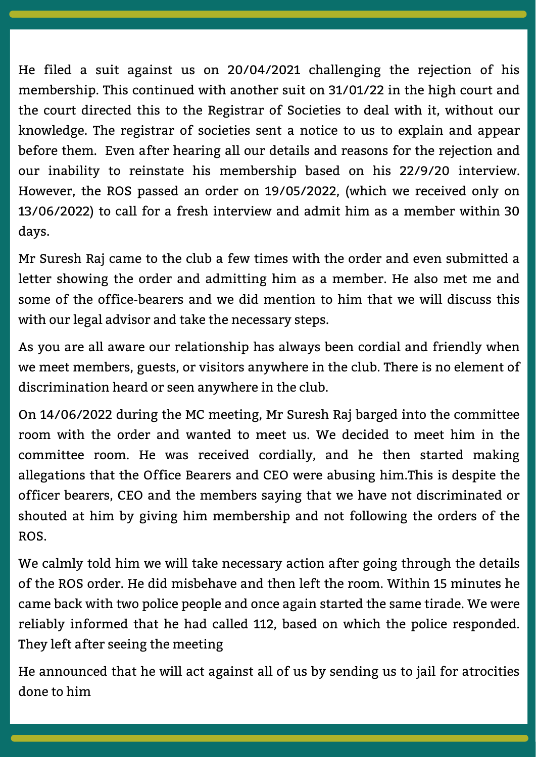He filed a suit against us on 20/04/2021 challenging the rejection of his membership. This continued with another suit on 31/01/22 in the high court and the court directed this to the Registrar of Societies to deal with it, without our knowledge. The registrar of societies sent a notice to us to explain and appear before them. Even after hearing all our details and reasons for the rejection and our inability to reinstate his membership based on his 22/9/20 interview. However, the ROS passed an order on 19/05/2022, (which we received only on 13/06/2022) to call for a fresh interview and admit him as a member within 30 days.

Mr Suresh Raj came to the club a few times with the order and even submitted a letter showing the order and admitting him as a member. He also met me and some of the office-bearers and we did mention to him that we will discuss this with our legal advisor and take the necessary steps.

As you are all aware our relationship has always been cordial and friendly when we meet members, guests, or visitors anywhere in the club. There is no element of discrimination heard or seen anywhere in the club.

On 14/06/2022 during the MC meeting, Mr Suresh Raj barged into the committee room with the order and wanted to meet us. We decided to meet him in the committee room. He was received cordially, and he then started making allegations that the Office Bearers and CEO were abusing him.This is despite the officer bearers, CEO and the members saying that we have not discriminated or shouted at him by giving him membership and not following the orders of the ROS.

We calmly told him we will take necessary action after going through the details of the ROS order. He did misbehave and then left the room. Within 15 minutes he came back with two police people and once again started the same tirade. We were reliably informed that he had called 112, based on which the police responded. They left after seeing the meeting

He announced that he will act against all of us by sending us to jail for atrocities done to him